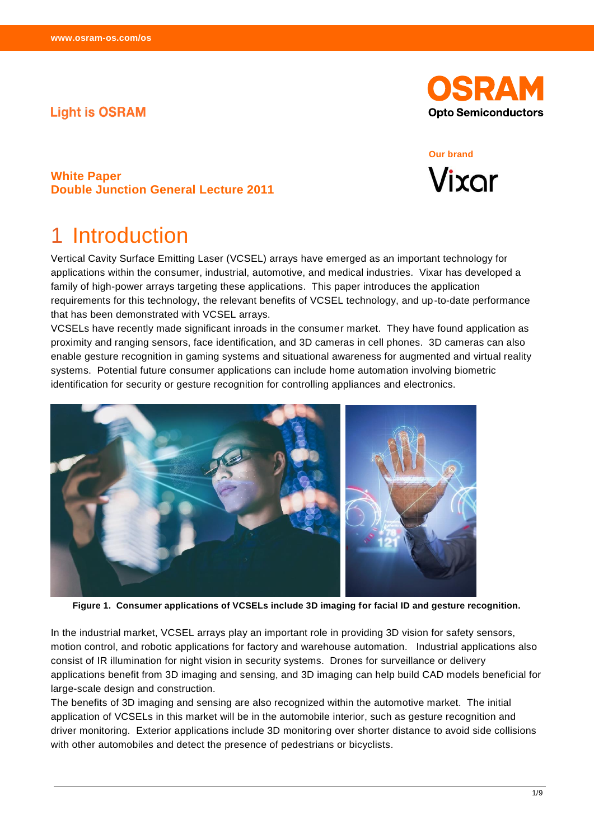### **Light is OSRAM**



#### **Our brand**



#### **White Paper Double Junction General Lecture 2011**

### **Introduction**

Vertical Cavity Surface Emitting Laser (VCSEL) arrays have emerged as an important technology for applications within the consumer, industrial, automotive, and medical industries. Vixar has developed a family of high-power arrays targeting these applications. This paper introduces the application requirements for this technology, the relevant benefits of VCSEL technology, and up-to-date performance that has been demonstrated with VCSEL arrays.

VCSELs have recently made significant inroads in the consumer market. They have found application as proximity and ranging sensors, face identification, and 3D cameras in cell phones. 3D cameras can also enable gesture recognition in gaming systems and situational awareness for augmented and virtual reality systems. Potential future consumer applications can include home automation involving biometric identification for security or gesture recognition for controlling appliances and electronics.



**Figure 1. Consumer applications of VCSELs include 3D imaging for facial ID and gesture recognition.**

In the industrial market, VCSEL arrays play an important role in providing 3D vision for safety sensors, motion control, and robotic applications for factory and warehouse automation. Industrial applications also consist of IR illumination for night vision in security systems. Drones for surveillance or delivery applications benefit from 3D imaging and sensing, and 3D imaging can help build CAD models beneficial for large-scale design and construction.

The benefits of 3D imaging and sensing are also recognized within the automotive market. The initial application of VCSELs in this market will be in the automobile interior, such as gesture recognition and driver monitoring. Exterior applications include 3D monitoring over shorter distance to avoid side collisions with other automobiles and detect the presence of pedestrians or bicyclists.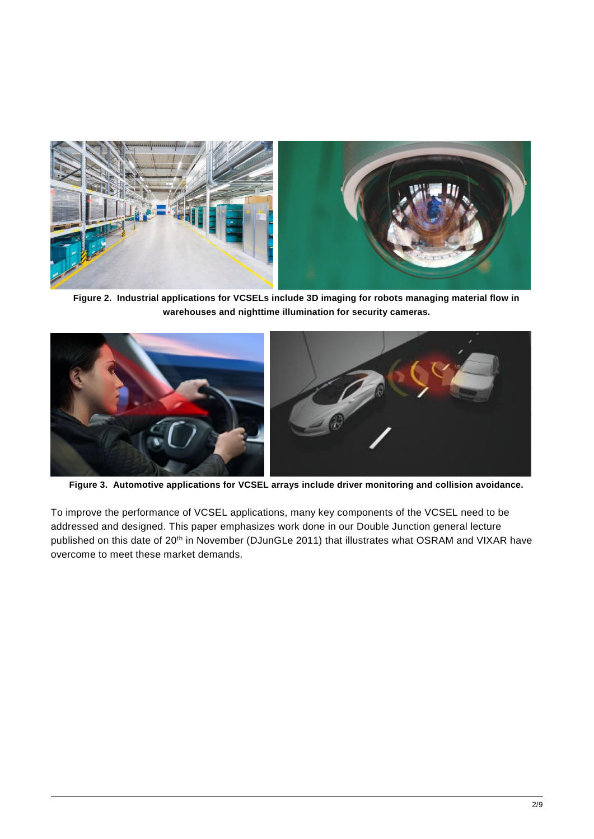

**Figure 2. Industrial applications for VCSELs include 3D imaging for robots managing material flow in warehouses and nighttime illumination for security cameras.**



**Figure 3. Automotive applications for VCSEL arrays include driver monitoring and collision avoidance.**

To improve the performance of VCSEL applications, many key components of the VCSEL need to be addressed and designed. This paper emphasizes work done in our Double Junction general lecture published on this date of 20<sup>th</sup> in November (DJunGLe 2011) that illustrates what OSRAM and VIXAR have overcome to meet these market demands.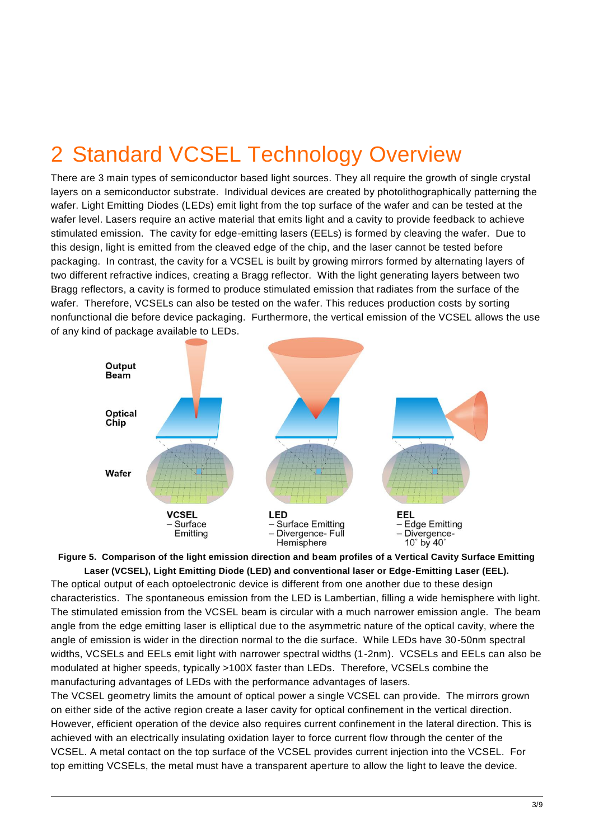# 2 Standard VCSEL Technology Overview

There are 3 main types of semiconductor based light sources. They all require the growth of single crystal layers on a semiconductor substrate. Individual devices are created by photolithographically patterning the wafer. Light Emitting Diodes (LEDs) emit light from the top surface of the wafer and can be tested at the wafer level. Lasers require an active material that emits light and a cavity to provide feedback to achieve stimulated emission. The cavity for edge-emitting lasers (EELs) is formed by cleaving the wafer. Due to this design, light is emitted from the cleaved edge of the chip, and the laser cannot be tested before packaging. In contrast, the cavity for a VCSEL is built by growing mirrors formed by alternating layers of two different refractive indices, creating a Bragg reflector. With the light generating layers between two Bragg reflectors, a cavity is formed to produce stimulated emission that radiates from the surface of the wafer. Therefore, VCSELs can also be tested on the wafer. This reduces production costs by sorting nonfunctional die before device packaging. Furthermore, the vertical emission of the VCSEL allows the use of any kind of package available to LEDs.



**Figure 5. Comparison of the light emission direction and beam profiles of a Vertical Cavity Surface Emitting Laser (VCSEL), Light Emitting Diode (LED) and conventional laser or Edge-Emitting Laser (EEL).**

The optical output of each optoelectronic device is different from one another due to these design characteristics. The spontaneous emission from the LED is Lambertian, filling a wide hemisphere with light. The stimulated emission from the VCSEL beam is circular with a much narrower emission angle. The beam angle from the edge emitting laser is elliptical due to the asymmetric nature of the optical cavity, where the angle of emission is wider in the direction normal to the die surface. While LEDs have 30-50nm spectral widths, VCSELs and EELs emit light with narrower spectral widths (1-2nm). VCSELs and EELs can also be modulated at higher speeds, typically >100X faster than LEDs. Therefore, VCSELs combine the manufacturing advantages of LEDs with the performance advantages of lasers.

The VCSEL geometry limits the amount of optical power a single VCSEL can provide. The mirrors grown on either side of the active region create a laser cavity for optical confinement in the vertical direction. However, efficient operation of the device also requires current confinement in the lateral direction. This is achieved with an electrically insulating oxidation layer to force current flow through the center of the VCSEL. A metal contact on the top surface of the VCSEL provides current injection into the VCSEL. For top emitting VCSELs, the metal must have a transparent aperture to allow the light to leave the device.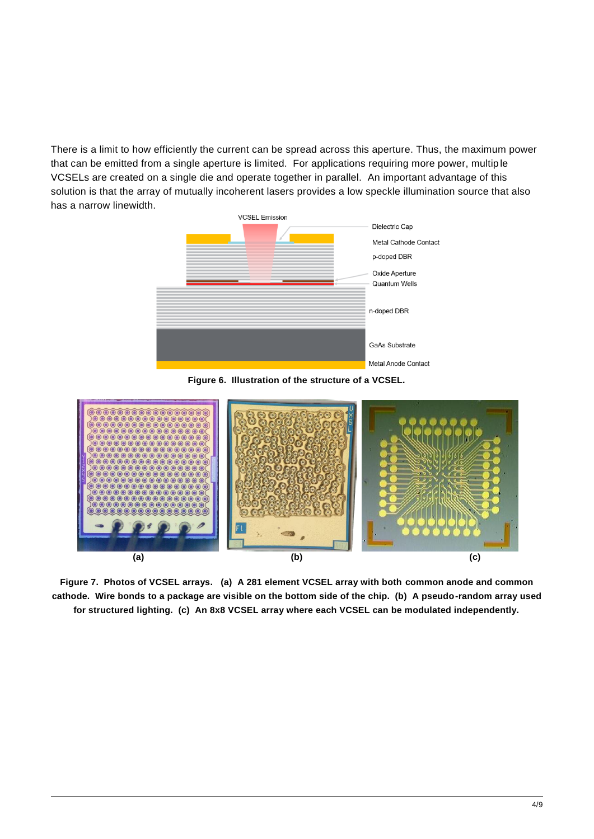There is a limit to how efficiently the current can be spread across this aperture. Thus, the maximum power that can be emitted from a single aperture is limited. For applications requiring more power, multip le VCSELs are created on a single die and operate together in parallel. An important advantage of this solution is that the array of mutually incoherent lasers provides a low speckle illumination source that also has a narrow linewidth.







**Figure 7. Photos of VCSEL arrays. (a) A 281 element VCSEL array with both common anode and common cathode. Wire bonds to a package are visible on the bottom side of the chip. (b) A pseudo-random array used for structured lighting. (c) An 8x8 VCSEL array where each VCSEL can be modulated independently.**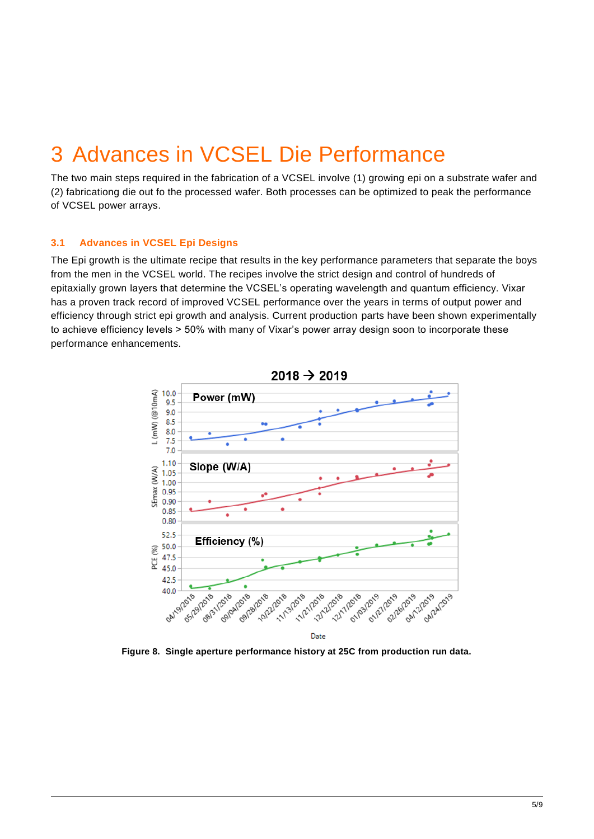### 3 Advances in VCSEL Die Performance

The two main steps required in the fabrication of a VCSEL involve (1) growing epi on a substrate wafer and (2) fabricationg die out fo the processed wafer. Both processes can be optimized to peak the performance of VCSEL power arrays.

#### **3.1 Advances in VCSEL Epi Designs**

The Epi growth is the ultimate recipe that results in the key performance parameters that separate the boys from the men in the VCSEL world. The recipes involve the strict design and control of hundreds of epitaxially grown layers that determine the VCSEL's operating wavelength and quantum efficiency. Vixar has a proven track record of improved VCSEL performance over the years in terms of output power and efficiency through strict epi growth and analysis. Current production parts have been shown experimentally to achieve efficiency levels > 50% with many of Vixar's power array design soon to incorporate these performance enhancements.



**Figure 8. Single aperture performance history at 25C from production run data.**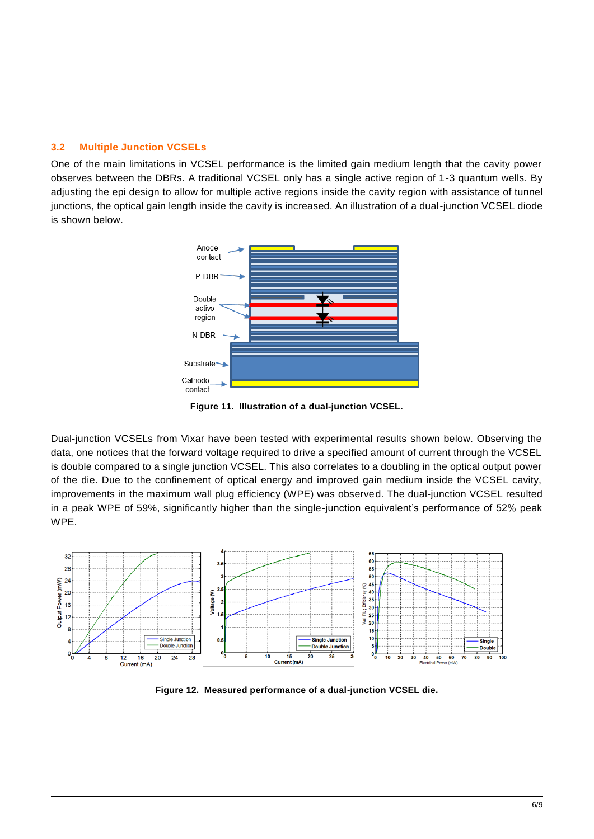#### **3.2 Multiple Junction VCSELs**

One of the main limitations in VCSEL performance is the limited gain medium length that the cavity power observes between the DBRs. A traditional VCSEL only has a single active region of 1-3 quantum wells. By adjusting the epi design to allow for multiple active regions inside the cavity region with assistance of tunnel junctions, the optical gain length inside the cavity is increased. An illustration of a dual-junction VCSEL diode is shown below.



**Figure 11. Illustration of a dual-junction VCSEL.** 

Dual-junction VCSELs from Vixar have been tested with experimental results shown below. Observing the data, one notices that the forward voltage required to drive a specified amount of current through the VCSEL is double compared to a single junction VCSEL. This also correlates to a doubling in the optical output power of the die. Due to the confinement of optical energy and improved gain medium inside the VCSEL cavity, improvements in the maximum wall plug efficiency (WPE) was observed. The dual-junction VCSEL resulted in a peak WPE of 59%, significantly higher than the single-junction equivalent's performance of 52% peak WPE.



**Figure 12. Measured performance of a dual-junction VCSEL die.**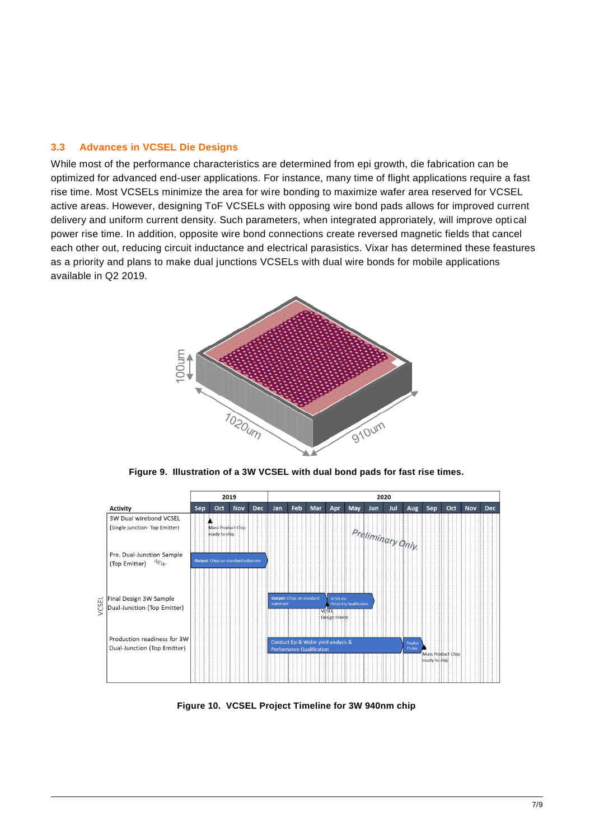#### **3.3 Advances in VCSEL Die Designs**

While most of the performance characteristics are determined from epi growth, die fabrication can be optimized for advanced end-user applications. For instance, many time of flight applications require a fast rise time. Most VCSELs minimize the area for wire bonding to maximize wafer area reserved for VCSEL active areas. However, designing ToF VCSELs with opposing wire bond pads allows for improved current delivery and uniform current density. Such parameters, when integrated approriately, will improve opti cal power rise time. In addition, opposite wire bond connections create reversed magnetic fields that cancel each other out, reducing circuit inductance and electrical parasistics. Vixar has determined these feastures as a priority and plans to make dual junctions VCSELs with dual wire bonds for mobile applications available in Q2 2019.



**Figure 9. Illustration of a 3W VCSEL with dual bond pads for fast rise times.** 



**Figure 10. VCSEL Project Timeline for 3W 940nm chip**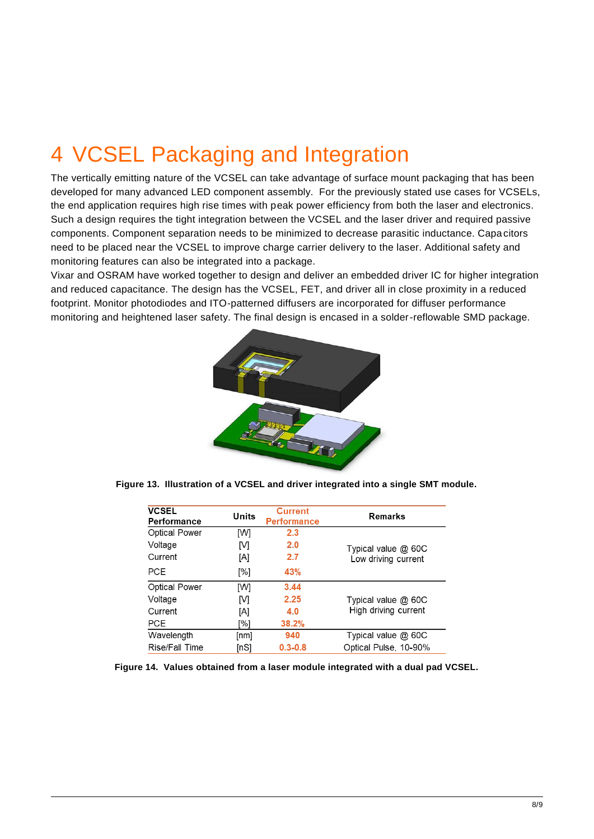# 4 VCSEL Packaging and Integration

The vertically emitting nature of the VCSEL can take advantage of surface mount packaging that has been developed for many advanced LED component assembly. For the previously stated use cases for VCSELs, the end application requires high rise times with peak power efficiency from both the laser and electronics. Such a design requires the tight integration between the VCSEL and the laser driver and required passive components. Component separation needs to be minimized to decrease parasitic inductance. Capacitors need to be placed near the VCSEL to improve charge carrier delivery to the laser. Additional safety and monitoring features can also be integrated into a package.

Vixar and OSRAM have worked together to design and deliver an embedded driver IC for higher integration and reduced capacitance. The design has the VCSEL, FET, and driver all in close proximity in a reduced footprint. Monitor photodiodes and ITO-patterned diffusers are incorporated for diffuser performance monitoring and heightened laser safety. The final design is encased in a solder-reflowable SMD package.



**Figure 13. Illustration of a VCSEL and driver integrated into a single SMT module.** 

| <b>VCSEL</b><br>Performance | Units | <b>Current</b><br><b>Performance</b> | Remarks                                    |
|-----------------------------|-------|--------------------------------------|--------------------------------------------|
| <b>Optical Power</b>        | [W]   | 2.3                                  |                                            |
| Voltage                     | IМ    | 2.0                                  | Typical value @ 60C<br>Low driving current |
| Current                     | ΙAΙ   | 2.7                                  |                                            |
| <b>PCE</b>                  | [%]   | 43%                                  |                                            |
| <b>Optical Power</b>        | [W]   | 3.44                                 |                                            |
| Voltage                     | IМ    | 2.25                                 | Typical value @ 60C                        |
| Current                     | [A]   | 4.0                                  | High driving current                       |
| <b>PCE</b>                  | [%]   | 38.2%                                |                                            |
| Wavelength                  | [nm]  | 940                                  | Typical value @ 60C                        |
| Rise/Fall Time              | [nS]  | $0.3 - 0.8$                          | Optical Pulse, 10-90%                      |

**Figure 14. Values obtained from a laser module integrated with a dual pad VCSEL.**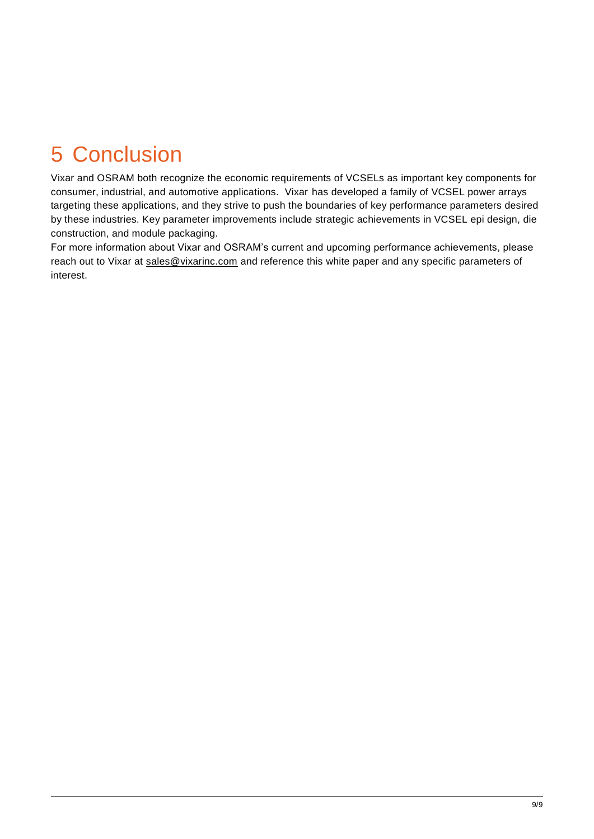# 5 Conclusion

Vixar and OSRAM both recognize the economic requirements of VCSELs as important key components for consumer, industrial, and automotive applications. Vixar has developed a family of VCSEL power arrays targeting these applications, and they strive to push the boundaries of key performance parameters desired by these industries. Key parameter improvements include strategic achievements in VCSEL epi design, die construction, and module packaging.

For more information about Vixar and OSRAM's current and upcoming performance achievements, please reach out to Vixar at [sales@vixarinc.com](mailto:sales@vixarinc.com) and reference this white paper and any specific parameters of interest.